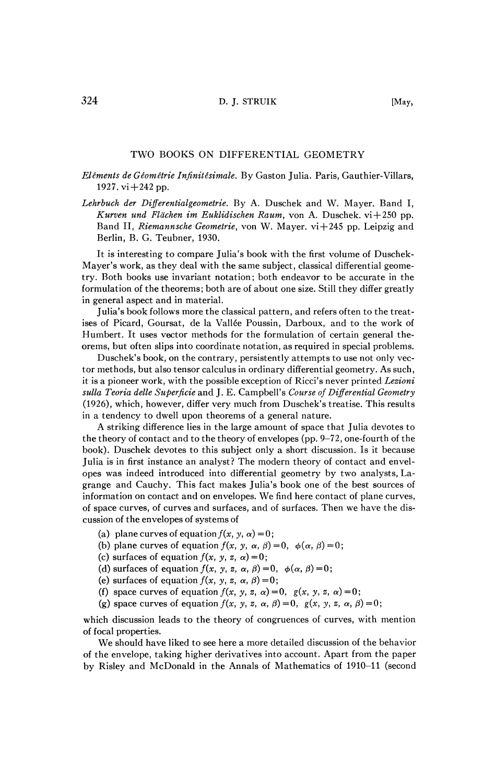## TWO BOOKS ON DIFFERENTIAL GEOMETRY

## *Elements de Géométrie Infinitésimale.* By Gaston Julia. Paris, Gauthier-Villars, 1927.  $vi + 242$  pp.

*Lehrbuch der Differentialgeometrie.* By A. Duschek and W. Mayer. Band I, *Kurven und Flächen im Euklidischen Raum*, von A. Duschek. vi+250 pp. Band II, *Riemannsche Geometrie,* von W. Mayer, vi+245 pp. Leipzig and Berlin, B. G. Teubner, 1930.

It is interesting to compare Julia's book with the first volume of Duschek-Mayer's work, as they deal with the same subject, classical differential geometry. Both books use invariant notation; both endeavor to be accurate in the formulation of the theorems; both are of about one size. Still they differ greatly in general aspect and in material.

Julia's book follows more the classical pattern, and refers often to the treatises of Picard, Goursat, de la Vallée Poussin, Darboux, and to the work of Humbert. It uses vector methods for the formulation of certain general theorems, but often slips into coordinate notation, as required in special problems.

Duschek's book, on the contrary, persistently attempts to use not only vector methods, but also tensor calculus in ordinary differential geometry. As such, it is a pioneer work, with the possible exception of Ricci's never printed *Lezioni sulla Teoria délie Superficie* and J. E. Campbell's *Course of Differential Geometry*  (1926), which, however, differ very much from Duschek's treatise. This results in a tendency to dwell upon theorems of a general nature.

A striking difference lies in the large amount of space that Julia devotes to the theory of contact and to the theory of envelopes (pp. 9-72, one-fourth of the book). Duschek devotes to this subject only a short discussion. Is it because Julia is in first instance an analyst? The modern theory of contact and envelopes was indeed introduced into differential geometry by two analysts, Lagrange and Cauchy. This fact makes Julia's book one of the best sources of information on contact and on envelopes. We find here contact of plane curves, of space curves, of curves and surfaces, and of surfaces. Then we have the discussion of the envelopes of systems of

- (a) plane curves of equation  $f(x, y, \alpha) = 0$ ;
- (b) plane curves of equation  $f(x, y, \alpha, \beta) = 0$ ,  $\phi(\alpha, \beta) = 0$ ;
- (c) surfaces of equation  $f(x, y, z, \alpha) = 0$ ;
- (d) surfaces of equation  $f(x, y, z, \alpha, \beta) = 0$ ,  $\phi(\alpha, \beta) = 0$ ;
- (e) surfaces of equation  $f(x, y, z, \alpha, \beta) = 0$ ;
- (f) space curves of equation  $f(x, y, z, \alpha) = 0$ ,  $g(x, y, z, \alpha) = 0$ ;
- (g) space curves of equation  $f(x, y, z, \alpha, \beta) = 0$ ,  $g(x, y, z, \alpha, \beta) = 0$ ;

which discussion leads to the theory of congruences of curves, with mention of focal properties.

We should have liked to see here a more detailed discussion of the behavior of the envelope, taking higher derivatives into account. Apart from the paper by Risley and McDonald in the Annals of Mathematics of 1910-11 (second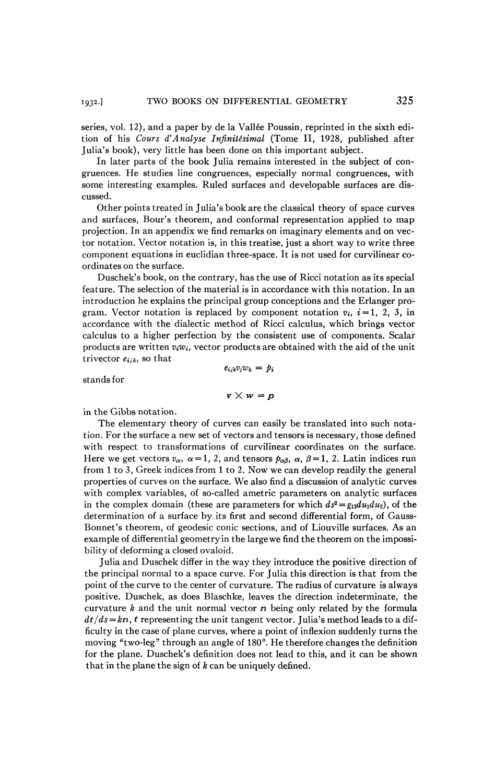series, vol. 12), and a paper by de la Vallée Poussin, reprinted in the sixth edition of his *Cours d'Analyse Infinitésimal* (Tome II, 1928, published after Julia's book), very little has been done on this important subject.

In later parts of the book Julia remains interested in the subject of congruences. He studies line congruences, especially normal congruences, with some interesting examples. Ruled surfaces and developable surfaces are discussed.

Other points treated in Julia's book are the classical theory of space curves and surfaces, Bour's theorem, and conformai representation applied to map projection. In an appendix we find remarks on imaginary elements and on vector notation. Vector notation is, in this treatise, just a short way to write three component equations in euclidian three-space. It is not used for curvilinear coordinates on the surface.

Duschek's book, on the contrary, has the use of Ricci notation as its special feature. The selection of the material is in accordance with this notation. In an introduction he explains the principal group conceptions and the Erlanger program. Vector notation is replaced by component notation  $v_i$ ,  $i = 1, 2, 3$ , in accordance with the dialectic method of Ricci calculus, which brings vector calculus to a higher perfection by the consistent use of components. Scalar products are written *ViWi,* vector products are obtained with the aid of the unit trivector  $e_{ijk}$ , so that  $e_{i}$ *while*  $=$  *p*<sub>i</sub>

stands for

$$
v \times w = p
$$

in the Gibbs notation.

The elementary theory of curves can easily be translated into such notation. For the surface a new set of vectors and tensors is necessary, those defined with respect to transformations of curvilinear coordinates on the surface. Here we get vectors  $v_{\alpha}$ ,  $\alpha = 1$ , 2, and tensors  $p_{\alpha\beta}$ ,  $\alpha$ ,  $\beta = 1$ , 2. Latin indices run from 1 to 3, Greek indices from 1 to 2. Now we can develop readily the general properties of curves on the surface. We also find a discussion of analytic curves with complex variables, of so-called ametric parameters on analytic surfaces in the complex domain (these are parameters for which  $ds^2 = g_{12} du_1 du_2$ ), of the determination of a surface by its first and second differential form, of Gauss-Bonnet's theorem, of geodesic conic sections, and of Liouville surfaces. As an example of differential geometry in the large we find the theorem on the impossibility of deforming a closed ovaloid.

Julia and Duschek differ in the way they introduce the positive direction of the principal normal to a space curve. For Julia this direction is that from the point of the curve to the center of curvature. The radius of curvature is always positive. Duschek, as does Blaschke, leaves the direction indeterminate, the curvature *k* and the unit normal vector *n* being only related by the formula  $dt/ds = kn$ , t representing the unit tangent vector. Julia's method leads to a difficulty in the case of plane curves, where a point of inflexion suddenly turns the moving "two-leg" through an angle of 180°. He therefore changes the definition for the plane. Duschek's definition does not lead to this, and it can be shown that in the plane the sign of *k* can be uniquely defined.